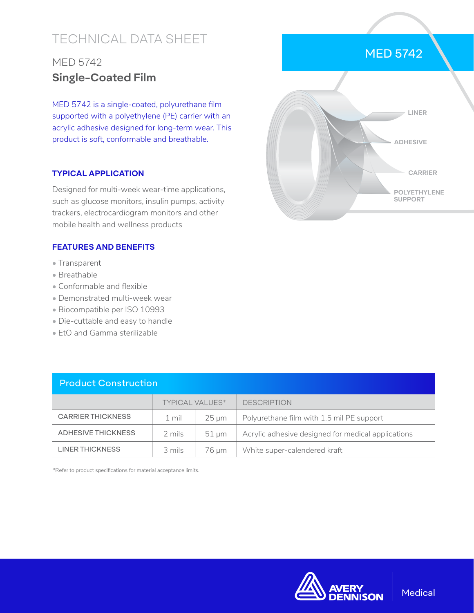# TECHNICAL DATA SHEET

# MED 5742 **Single-Coated Film**

MED 5742 is a single-coated, polyurethane film supported with a polyethylene (PE) carrier with an acrylic adhesive designed for long-term wear. This product is soft, conformable and breathable.

### **TYPICAL APPLICATION**

Designed for multi-week wear-time applications, such as glucose monitors, insulin pumps, activity trackers, electrocardiogram monitors and other mobile health and wellness products

#### **FEATURES AND BENEFITS**

- Transparent
- Breathable
- Conformable and flexible
- Demonstrated multi-week wear
- Biocompatible per ISO 10993
- Die-cuttable and easy to handle
- EtO and Gamma sterilizable

| <b>Product Construction</b> |                        |            |                                                    |  |  |
|-----------------------------|------------------------|------------|----------------------------------------------------|--|--|
|                             | <b>TYPICAL VALUES*</b> |            | <b>DESCRIPTION</b>                                 |  |  |
| <b>CARRIER THICKNESS</b>    | 1 mil                  | $25 \mu m$ | Polyurethane film with 1.5 mil PE support          |  |  |
| ADHESIVE THICKNESS          | 2 mils                 | $51 \mu m$ | Acrylic adhesive designed for medical applications |  |  |
| LINER THICKNESS             | 3 mils                 | 76 um      | White super-calendered kraft                       |  |  |

\*Refer to product specifications for material acceptance limits.